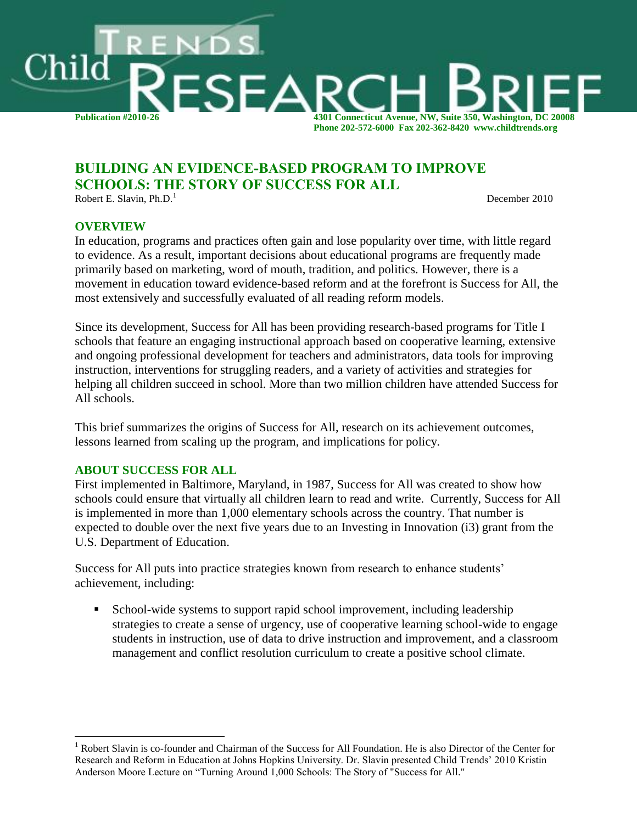

# **BUILDING AN EVIDENCE-BASED PROGRAM TO IMPROVE SCHOOLS: THE STORY OF SUCCESS FOR ALL**

Robert E. Slavin, Ph.D.

December 2010

#### **OVERVIEW**

In education, programs and practices often gain and lose popularity over time, with little regard to evidence. As a result, important decisions about educational programs are frequently made primarily based on marketing, word of mouth, tradition, and politics. However, there is a movement in education toward evidence-based reform and at the forefront is Success for All, the most extensively and successfully evaluated of all reading reform models.

Since its development, Success for All has been providing research-based programs for Title I schools that feature an engaging instructional approach based on cooperative learning, extensive and ongoing professional development for teachers and administrators, data tools for improving instruction, interventions for struggling readers, and a variety of activities and strategies for helping all children succeed in school. More than two million children have attended Success for All schools.

This brief summarizes the origins of Success for All, research on its achievement outcomes, lessons learned from scaling up the program, and implications for policy.

#### **ABOUT SUCCESS FOR ALL**

 $\overline{a}$ 

First implemented in Baltimore, Maryland, in 1987, Success for All was created to show how schools could ensure that virtually all children learn to read and write. Currently, Success for All is implemented in more than 1,000 elementary schools across the country. That number is expected to double over the next five years due to an Investing in Innovation (i3) grant from the U.S. Department of Education.

Success for All puts into practice strategies known from research to enhance students' achievement, including:

 School-wide systems to support rapid school improvement, including leadership strategies to create a sense of urgency, use of cooperative learning school-wide to engage students in instruction, use of data to drive instruction and improvement, and a classroom management and conflict resolution curriculum to create a positive school climate.

<sup>&</sup>lt;sup>1</sup> Robert Slavin is co-founder and Chairman of the Success for All Foundation. He is also Director of the Center for Research and Reform in Education at Johns Hopkins University. Dr. Slavin presented Child Trends' 2010 Kristin Anderson Moore Lecture on "Turning Around 1,000 Schools: The Story of "Success for All."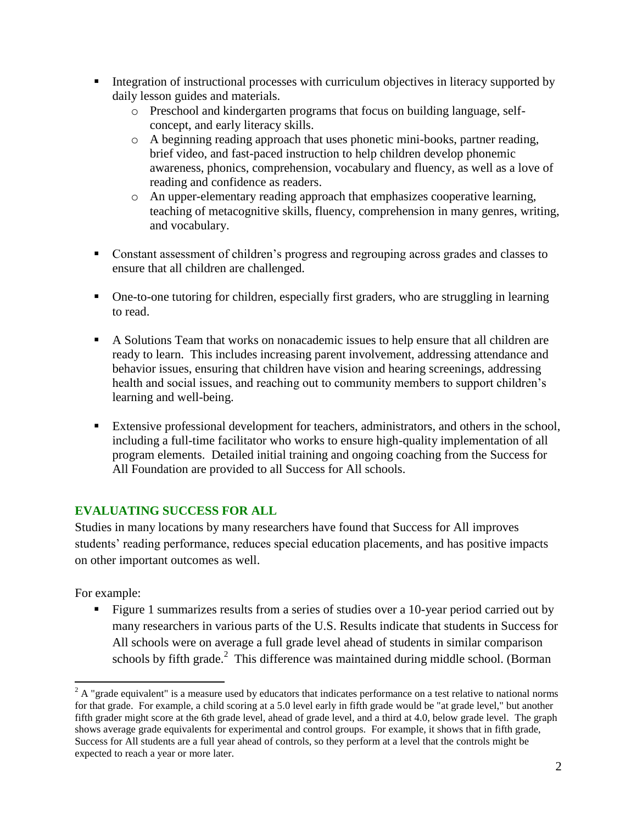- Integration of instructional processes with curriculum objectives in literacy supported by daily lesson guides and materials.
	- o Preschool and kindergarten programs that focus on building language, selfconcept, and early literacy skills.
	- o A beginning reading approach that uses phonetic mini-books, partner reading, brief video, and fast-paced instruction to help children develop phonemic awareness, phonics, comprehension, vocabulary and fluency, as well as a love of reading and confidence as readers.
	- o An upper-elementary reading approach that emphasizes cooperative learning, teaching of metacognitive skills, fluency, comprehension in many genres, writing, and vocabulary.
- Constant assessment of children's progress and regrouping across grades and classes to ensure that all children are challenged.
- One-to-one tutoring for children, especially first graders, who are struggling in learning to read.
- A Solutions Team that works on nonacademic issues to help ensure that all children are ready to learn. This includes increasing parent involvement, addressing attendance and behavior issues, ensuring that children have vision and hearing screenings, addressing health and social issues, and reaching out to community members to support children's learning and well-being.
- Extensive professional development for teachers, administrators, and others in the school, including a full-time facilitator who works to ensure high-quality implementation of all program elements. Detailed initial training and ongoing coaching from the Success for All Foundation are provided to all Success for All schools.

# **EVALUATING SUCCESS FOR ALL**

Studies in many locations by many researchers have found that Success for All improves students' reading performance, reduces special education placements, and has positive impacts on other important outcomes as well.

For example:

 $\overline{\phantom{a}}$ 

Figure 1 summarizes results from a series of studies over a 10-year period carried out by many researchers in various parts of the U.S. Results indicate that students in Success for All schools were on average a full grade level ahead of students in similar comparison schools by fifth grade.<sup>2</sup> This difference was maintained during middle school. (Borman

 $2^2$  A "grade equivalent" is a measure used by educators that indicates performance on a test relative to national norms for that grade. For example, a child scoring at a 5.0 level early in fifth grade would be "at grade level," but another fifth grader might score at the 6th grade level, ahead of grade level, and a third at 4.0, below grade level. The graph shows average grade equivalents for experimental and control groups. For example, it shows that in fifth grade, Success for All students are a full year ahead of controls, so they perform at a level that the controls might be expected to reach a year or more later.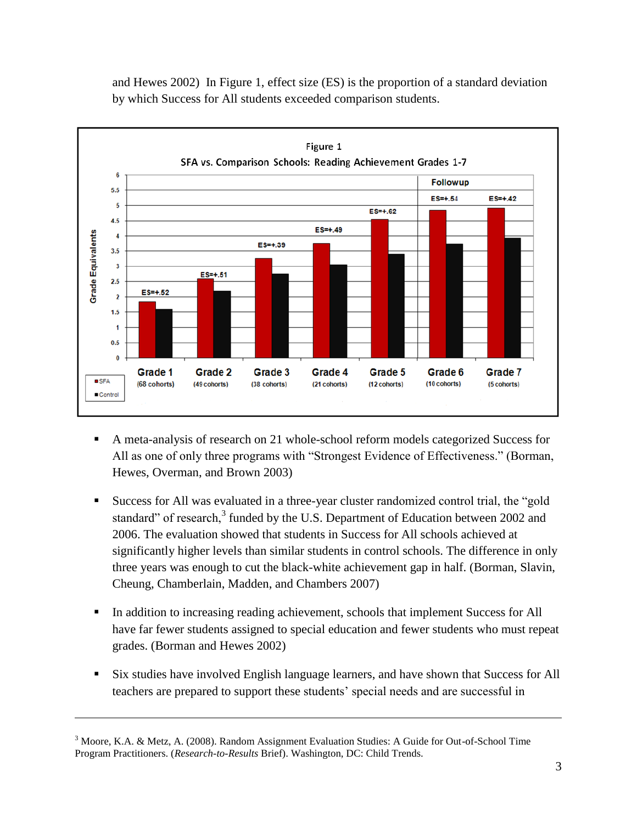

and Hewes 2002) In Figure 1, effect size (ES) is the proportion of a standard deviation by which Success for All students exceeded comparison students.

- A meta-analysis of research on 21 whole-school reform models categorized Success for All as one of only three programs with "Strongest Evidence of Effectiveness." (Borman, Hewes, Overman, and Brown 2003)
- Success for All was evaluated in a three-year cluster randomized control trial, the "gold standard" of research,<sup>3</sup> funded by the U.S. Department of Education between 2002 and 2006. The evaluation showed that students in Success for All schools achieved at significantly higher levels than similar students in control schools. The difference in only three years was enough to cut the black-white achievement gap in half. (Borman, Slavin, Cheung, Chamberlain, Madden, and Chambers 2007)
- In addition to increasing reading achievement, schools that implement Success for All have far fewer students assigned to special education and fewer students who must repeat grades. (Borman and Hewes 2002)
- Six studies have involved English language learners, and have shown that Success for All teachers are prepared to support these students' special needs and are successful in

 $\overline{\phantom{a}}$ 

<sup>3</sup> Moore, K.A. & Metz, A. (2008). Random Assignment Evaluation Studies: A Guide for Out-of-School Time Program Practitioners. (*Research-to-Results* Brief). Washington, DC: Child Trends.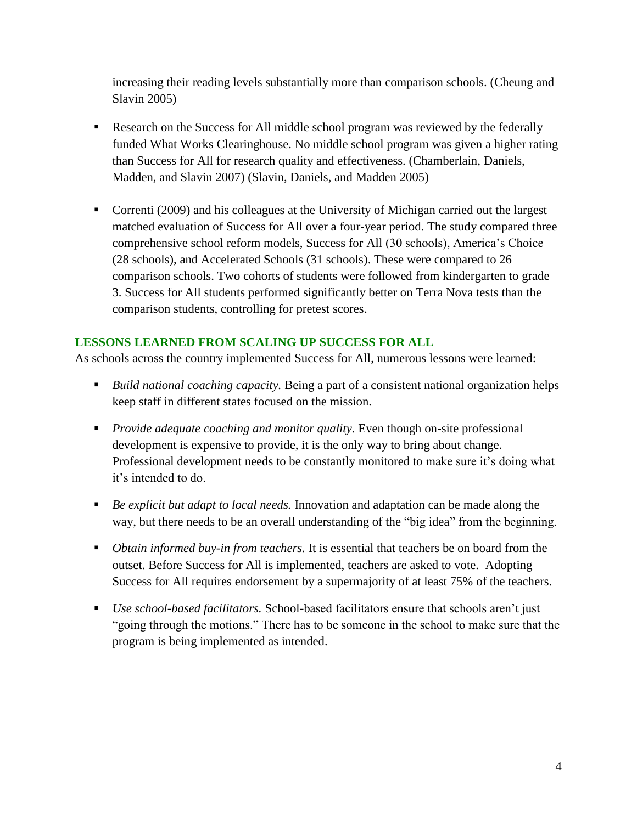increasing their reading levels substantially more than comparison schools. (Cheung and Slavin 2005)

- Research on the Success for All middle school program was reviewed by the federally funded What Works Clearinghouse. No middle school program was given a higher rating than Success for All for research quality and effectiveness. (Chamberlain, Daniels, Madden, and Slavin 2007) (Slavin, Daniels, and Madden 2005)
- Correnti (2009) and his colleagues at the University of Michigan carried out the largest matched evaluation of Success for All over a four-year period. The study compared three comprehensive school reform models, Success for All (30 schools), America's Choice (28 schools), and Accelerated Schools (31 schools). These were compared to 26 comparison schools. Two cohorts of students were followed from kindergarten to grade 3. Success for All students performed significantly better on Terra Nova tests than the comparison students, controlling for pretest scores.

## **LESSONS LEARNED FROM SCALING UP SUCCESS FOR ALL**

As schools across the country implemented Success for All, numerous lessons were learned:

- *Build national coaching capacity.* Being a part of a consistent national organization helps keep staff in different states focused on the mission.
- *Provide adequate coaching and monitor quality.* Even though on-site professional development is expensive to provide, it is the only way to bring about change. Professional development needs to be constantly monitored to make sure it's doing what it's intended to do.
- *Be explicit but adapt to local needs.* Innovation and adaptation can be made along the way, but there needs to be an overall understanding of the "big idea" from the beginning.
- *Obtain informed buy-in from teachers.* It is essential that teachers be on board from the outset. Before Success for All is implemented, teachers are asked to vote. Adopting Success for All requires endorsement by a supermajority of at least 75% of the teachers.
- *Use school-based facilitators.* School-based facilitators ensure that schools aren't just "going through the motions." There has to be someone in the school to make sure that the program is being implemented as intended.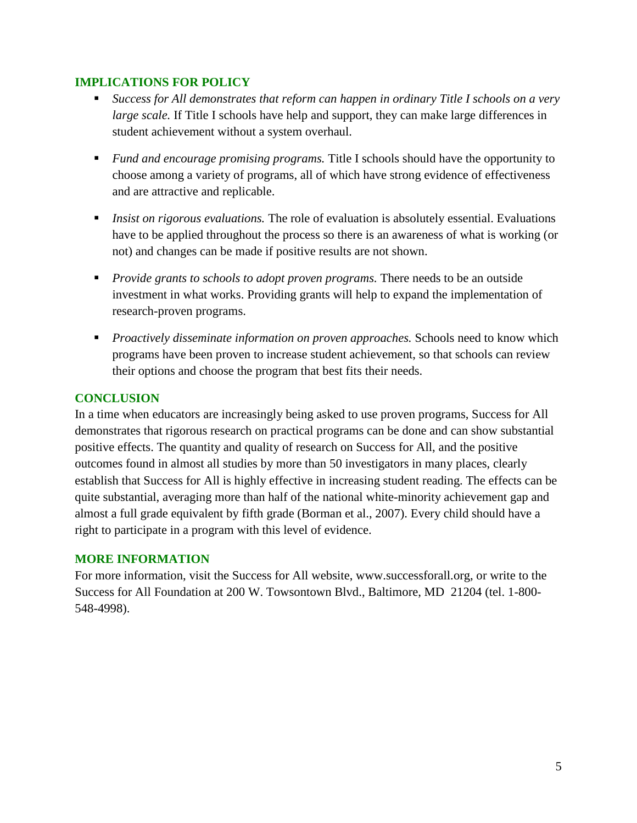## **IMPLICATIONS FOR POLICY**

- *Success for All demonstrates that reform can happen in ordinary Title I schools on a very large scale.* If Title I schools have help and support, they can make large differences in student achievement without a system overhaul.
- *Fund and encourage promising programs.* Title I schools should have the opportunity to choose among a variety of programs, all of which have strong evidence of effectiveness and are attractive and replicable.
- *Insist on rigorous evaluations.* The role of evaluation is absolutely essential. Evaluations have to be applied throughout the process so there is an awareness of what is working (or not) and changes can be made if positive results are not shown.
- *Provide grants to schools to adopt proven programs.* There needs to be an outside investment in what works. Providing grants will help to expand the implementation of research-proven programs.
- *Proactively disseminate information on proven approaches.* Schools need to know which programs have been proven to increase student achievement, so that schools can review their options and choose the program that best fits their needs.

# **CONCLUSION**

In a time when educators are increasingly being asked to use proven programs, Success for All demonstrates that rigorous research on practical programs can be done and can show substantial positive effects. The quantity and quality of research on Success for All, and the positive outcomes found in almost all studies by more than 50 investigators in many places, clearly establish that Success for All is highly effective in increasing student reading. The effects can be quite substantial, averaging more than half of the national white-minority achievement gap and almost a full grade equivalent by fifth grade (Borman et al., 2007). Every child should have a right to participate in a program with this level of evidence.

## **MORE INFORMATION**

For more information, visit the Success for All website, www.successforall.org, or write to the Success for All Foundation at 200 W. Towsontown Blvd., Baltimore, MD 21204 (tel. 1-800- 548-4998).